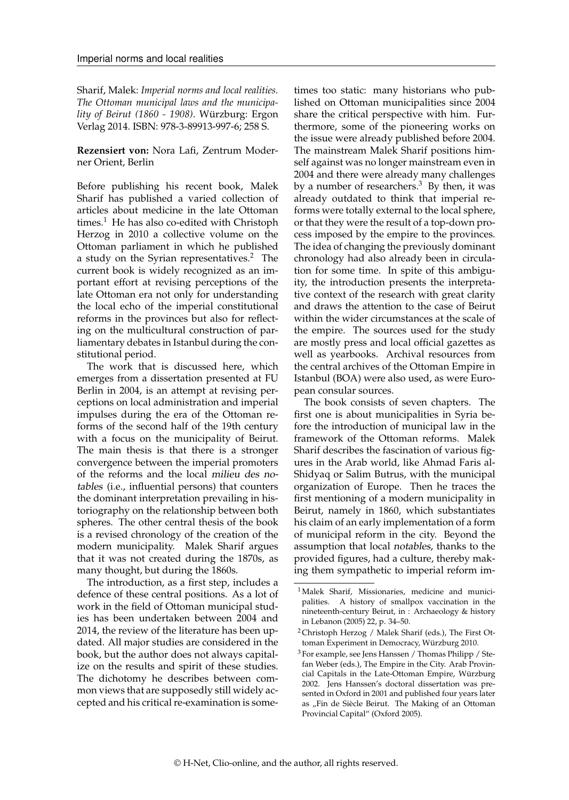Sharif, Malek: *Imperial norms and local realities. The Ottoman municipal laws and the municipality of Beirut (1860 - 1908)*. Würzburg: Ergon Verlag 2014. ISBN: 978-3-89913-997-6; 258 S.

## **Rezensiert von:** Nora Lafi, Zentrum Moderner Orient, Berlin

Before publishing his recent book, Malek Sharif has published a varied collection of articles about medicine in the late Ottoman times.<sup>[1](#page-0-0)</sup> He has also co-edited with Christoph Herzog in 2010 a collective volume on the Ottoman parliament in which he published a study on the Syrian representatives.[2](#page-0-1) The current book is widely recognized as an important effort at revising perceptions of the late Ottoman era not only for understanding the local echo of the imperial constitutional reforms in the provinces but also for reflecting on the multicultural construction of parliamentary debates in Istanbul during the constitutional period.

The work that is discussed here, which emerges from a dissertation presented at FU Berlin in 2004, is an attempt at revising perceptions on local administration and imperial impulses during the era of the Ottoman reforms of the second half of the 19th century with a focus on the municipality of Beirut. The main thesis is that there is a stronger convergence between the imperial promoters of the reforms and the local milieu des notables (i.e., influential persons) that counters the dominant interpretation prevailing in historiography on the relationship between both spheres. The other central thesis of the book is a revised chronology of the creation of the modern municipality. Malek Sharif argues that it was not created during the 1870s, as many thought, but during the 1860s.

The introduction, as a first step, includes a defence of these central positions. As a lot of work in the field of Ottoman municipal studies has been undertaken between 2004 and 2014, the review of the literature has been updated. All major studies are considered in the book, but the author does not always capitalize on the results and spirit of these studies. The dichotomy he describes between common views that are supposedly still widely accepted and his critical re-examination is sometimes too static: many historians who published on Ottoman municipalities since 2004 share the critical perspective with him. Furthermore, some of the pioneering works on the issue were already published before 2004. The mainstream Malek Sharif positions himself against was no longer mainstream even in 2004 and there were already many challenges by a number of researchers.<sup>[3](#page-0-2)</sup> By then, it was already outdated to think that imperial reforms were totally external to the local sphere, or that they were the result of a top-down process imposed by the empire to the provinces. The idea of changing the previously dominant chronology had also already been in circulation for some time. In spite of this ambiguity, the introduction presents the interpretative context of the research with great clarity and draws the attention to the case of Beirut within the wider circumstances at the scale of the empire. The sources used for the study are mostly press and local official gazettes as well as yearbooks. Archival resources from the central archives of the Ottoman Empire in Istanbul (BOA) were also used, as were European consular sources.

The book consists of seven chapters. The first one is about municipalities in Syria before the introduction of municipal law in the framework of the Ottoman reforms. Malek Sharif describes the fascination of various figures in the Arab world, like Ahmad Faris al-Shidyaq or Salim Butrus, with the municipal organization of Europe. Then he traces the first mentioning of a modern municipality in Beirut, namely in 1860, which substantiates his claim of an early implementation of a form of municipal reform in the city. Beyond the assumption that local notables, thanks to the provided figures, had a culture, thereby making them sympathetic to imperial reform im-

<span id="page-0-0"></span><sup>&</sup>lt;sup>1</sup> Malek Sharif, Missionaries, medicine and municipalities. A history of smallpox vaccination in the nineteenth-century Beirut, in : Archaeology & history in Lebanon (2005) 22, p. 34–50.

<span id="page-0-1"></span><sup>&</sup>lt;sup>2</sup> Christoph Herzog / Malek Sharif (eds.), The First Ottoman Experiment in Democracy, Würzburg 2010.

<span id="page-0-2"></span><sup>3</sup> For example, see Jens Hanssen / Thomas Philipp / Stefan Weber (eds.), The Empire in the City. Arab Provincial Capitals in the Late-Ottoman Empire, Würzburg 2002. Jens Hanssen's doctoral dissertation was presented in Oxford in 2001 and published four years later as "Fin de Siècle Beirut. The Making of an Ottoman Provincial Capital" (Oxford 2005).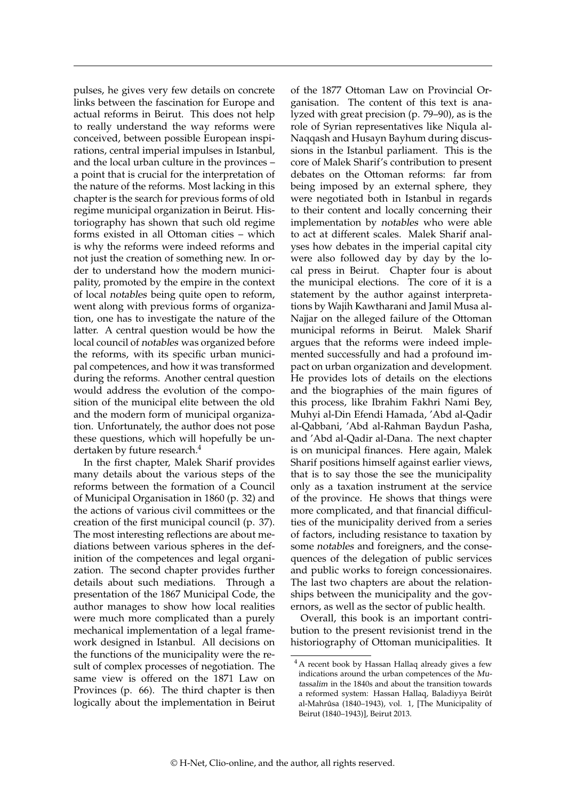pulses, he gives very few details on concrete links between the fascination for Europe and actual reforms in Beirut. This does not help to really understand the way reforms were conceived, between possible European inspirations, central imperial impulses in Istanbul, and the local urban culture in the provinces – a point that is crucial for the interpretation of the nature of the reforms. Most lacking in this chapter is the search for previous forms of old regime municipal organization in Beirut. Historiography has shown that such old regime forms existed in all Ottoman cities – which is why the reforms were indeed reforms and not just the creation of something new. In order to understand how the modern municipality, promoted by the empire in the context of local notables being quite open to reform, went along with previous forms of organization, one has to investigate the nature of the latter. A central question would be how the local council of notables was organized before the reforms, with its specific urban municipal competences, and how it was transformed during the reforms. Another central question would address the evolution of the composition of the municipal elite between the old and the modern form of municipal organization. Unfortunately, the author does not pose these questions, which will hopefully be un-dertaken by future research.<sup>[4](#page-1-0)</sup>

In the first chapter, Malek Sharif provides many details about the various steps of the reforms between the formation of a Council of Municipal Organisation in 1860 (p. 32) and the actions of various civil committees or the creation of the first municipal council (p. 37). The most interesting reflections are about mediations between various spheres in the definition of the competences and legal organization. The second chapter provides further details about such mediations. Through a presentation of the 1867 Municipal Code, the author manages to show how local realities were much more complicated than a purely mechanical implementation of a legal framework designed in Istanbul. All decisions on the functions of the municipality were the result of complex processes of negotiation. The same view is offered on the 1871 Law on Provinces (p. 66). The third chapter is then logically about the implementation in Beirut of the 1877 Ottoman Law on Provincial Organisation. The content of this text is analyzed with great precision (p. 79–90), as is the role of Syrian representatives like Niqula al-Naqqash and Husayn Bayhum during discussions in the Istanbul parliament. This is the core of Malek Sharif's contribution to present debates on the Ottoman reforms: far from being imposed by an external sphere, they were negotiated both in Istanbul in regards to their content and locally concerning their implementation by notables who were able to act at different scales. Malek Sharif analyses how debates in the imperial capital city were also followed day by day by the local press in Beirut. Chapter four is about the municipal elections. The core of it is a statement by the author against interpretations by Wajih Kawtharani and Jamil Musa al-Najjar on the alleged failure of the Ottoman municipal reforms in Beirut. Malek Sharif argues that the reforms were indeed implemented successfully and had a profound impact on urban organization and development. He provides lots of details on the elections and the biographies of the main figures of this process, like Ibrahim Fakhri Nami Bey, Muhyi al-Din Efendi Hamada, 'Abd al-Qadir al-Qabbani, 'Abd al-Rahman Baydun Pasha, and 'Abd al-Qadir al-Dana. The next chapter is on municipal finances. Here again, Malek Sharif positions himself against earlier views, that is to say those the see the municipality only as a taxation instrument at the service of the province. He shows that things were more complicated, and that financial difficulties of the municipality derived from a series of factors, including resistance to taxation by some notables and foreigners, and the consequences of the delegation of public services and public works to foreign concessionaires. The last two chapters are about the relationships between the municipality and the governors, as well as the sector of public health.

Overall, this book is an important contribution to the present revisionist trend in the historiography of Ottoman municipalities. It

<span id="page-1-0"></span><sup>4</sup> A recent book by Hassan Hallaq already gives a few indications around the urban competences of the Mutassalim in the 1840s and about the transition towards a reformed system: Hassan Hallaq, Baladiyya Beirût al-Mahrûsa (1840–1943), vol. 1, [The Municipality of Beirut (1840–1943)], Beirut 2013.